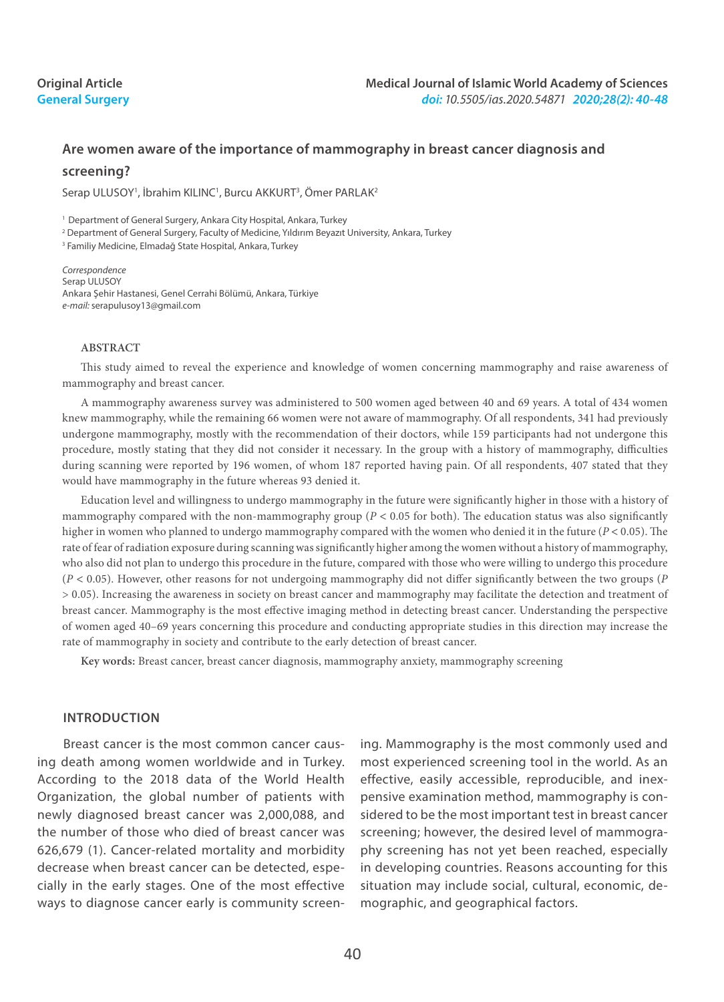# **Original Article General Surgery**

# **Are women aware of the importance of mammography in breast cancer diagnosis and screening?**

Serap ULUSOY<sup>1</sup>, İbrahim KILINC<sup>1</sup>, Burcu AKKURT<sup>3</sup>, Ömer PARLAK<sup>2</sup>

<sup>1</sup> Department of General Surgery, Ankara City Hospital, Ankara, Turkey

2 Department of General Surgery, Faculty of Medicine, Yıldırım Beyazıt University, Ankara, Turkey

3 Familiy Medicine, Elmadağ State Hospital, Ankara, Turkey

*Correspondence* Serap ULUSOY Ankara Şehir Hastanesi, Genel Cerrahi Bölümü, Ankara, Türkiye *e-mail:* serapulusoy13@gmail.com

#### **ABSTRACT**

This study aimed to reveal the experience and knowledge of women concerning mammography and raise awareness of mammography and breast cancer.

A mammography awareness survey was administered to 500 women aged between 40 and 69 years. A total of 434 women knew mammography, while the remaining 66 women were not aware of mammography. Of all respondents, 341 had previously undergone mammography, mostly with the recommendation of their doctors, while 159 participants had not undergone this procedure, mostly stating that they did not consider it necessary. In the group with a history of mammography, difficulties during scanning were reported by 196 women, of whom 187 reported having pain. Of all respondents, 407 stated that they would have mammography in the future whereas 93 denied it.

Education level and willingness to undergo mammography in the future were significantly higher in those with a history of mammography compared with the non-mammography group (*P* < 0.05 for both). The education status was also significantly higher in women who planned to undergo mammography compared with the women who denied it in the future (*P* < 0.05). The rate of fear of radiation exposure during scanning was significantly higher among the women without a history of mammography, who also did not plan to undergo this procedure in the future, compared with those who were willing to undergo this procedure (*P* < 0.05). However, other reasons for not undergoing mammography did not differ significantly between the two groups (*P* > 0.05). Increasing the awareness in society on breast cancer and mammography may facilitate the detection and treatment of breast cancer. Mammography is the most effective imaging method in detecting breast cancer. Understanding the perspective of women aged 40–69 years concerning this procedure and conducting appropriate studies in this direction may increase the rate of mammography in society and contribute to the early detection of breast cancer.

**Key words:** Breast cancer, breast cancer diagnosis, mammography anxiety, mammography screening

### **INTRODUCTION**

Breast cancer is the most common cancer causing death among women worldwide and in Turkey. According to the 2018 data of the World Health Organization, the global number of patients with newly diagnosed breast cancer was 2,000,088, and the number of those who died of breast cancer was 626,679 (1). Cancer-related mortality and morbidity decrease when breast cancer can be detected, especially in the early stages. One of the most effective ways to diagnose cancer early is community screen-

ing. Mammography is the most commonly used and most experienced screening tool in the world. As an effective, easily accessible, reproducible, and inexpensive examination method, mammography is considered to be the most important test in breast cancer screening; however, the desired level of mammography screening has not yet been reached, especially in developing countries. Reasons accounting for this situation may include social, cultural, economic, demographic, and geographical factors.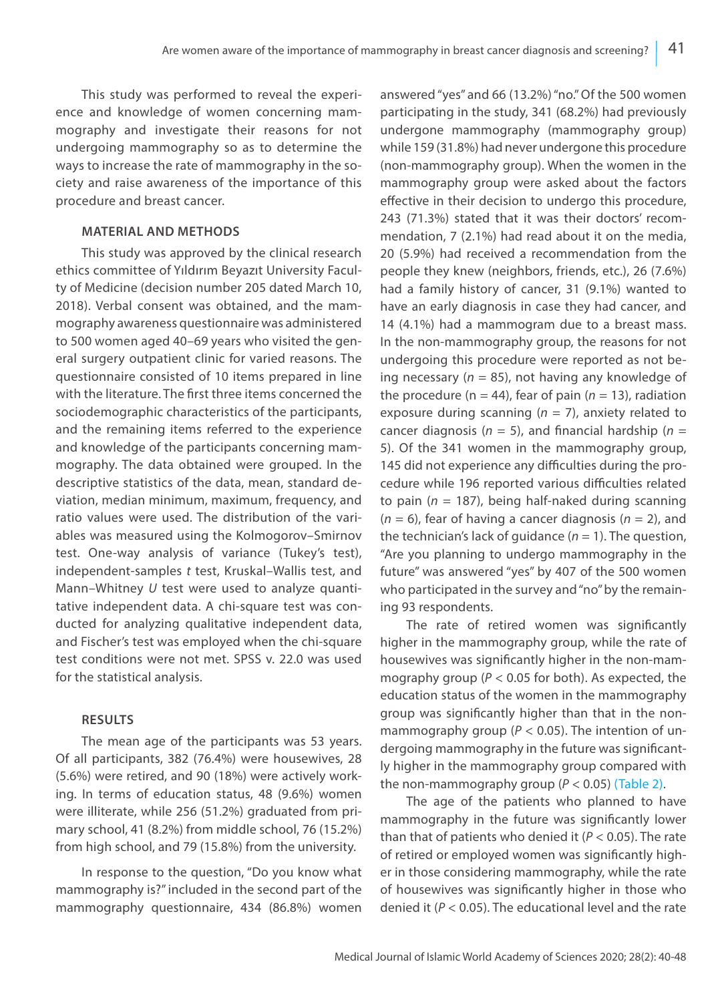This study was performed to reveal the experience and knowledge of women concerning mammography and investigate their reasons for not undergoing mammography so as to determine the ways to increase the rate of mammography in the society and raise awareness of the importance of this procedure and breast cancer.

# **MATERIAL AND METHODS**

This study was approved by the clinical research ethics committee of Yıldırım Beyazıt University Faculty of Medicine (decision number 205 dated March 10, 2018). Verbal consent was obtained, and the mammography awareness questionnaire was administered to 500 women aged 40–69 years who visited the general surgery outpatient clinic for varied reasons. The questionnaire consisted of 10 items prepared in line with the literature. The first three items concerned the sociodemographic characteristics of the participants, and the remaining items referred to the experience and knowledge of the participants concerning mammography. The data obtained were grouped. In the descriptive statistics of the data, mean, standard deviation, median minimum, maximum, frequency, and ratio values were used. The distribution of the variables was measured using the Kolmogorov–Smirnov test. One-way analysis of variance (Tukey's test), independent-samples *t* test, Kruskal–Wallis test, and Mann–Whitney *U* test were used to analyze quantitative independent data. A chi-square test was conducted for analyzing qualitative independent data, and Fischer's test was employed when the chi-square test conditions were not met. SPSS v. 22.0 was used for the statistical analysis.

# **RESULTS**

The mean age of the participants was 53 years. Of all participants, 382 (76.4%) were housewives, 28 (5.6%) were retired, and 90 (18%) were actively working. In terms of education status, 48 (9.6%) women were illiterate, while 256 (51.2%) graduated from primary school, 41 (8.2%) from middle school, 76 (15.2%) from high school, and 79 (15.8%) from the university.

In response to the question, "Do you know what mammography is?" included in the second part of the mammography questionnaire, 434 (86.8%) women answered "yes" and 66 (13.2%) "no." Of the 500 women participating in the study, 341 (68.2%) had previously undergone mammography (mammography group) while 159 (31.8%) had never undergone this procedure (non-mammography group). When the women in the mammography group were asked about the factors effective in their decision to undergo this procedure, 243 (71.3%) stated that it was their doctors' recommendation, 7 (2.1%) had read about it on the media, 20 (5.9%) had received a recommendation from the people they knew (neighbors, friends, etc.), 26 (7.6%) had a family history of cancer, 31 (9.1%) wanted to have an early diagnosis in case they had cancer, and 14 (4.1%) had a mammogram due to a breast mass. In the non-mammography group, the reasons for not undergoing this procedure were reported as not being necessary ( $n = 85$ ), not having any knowledge of the procedure ( $n = 44$ ), fear of pain ( $n = 13$ ), radiation exposure during scanning  $(n = 7)$ , anxiety related to cancer diagnosis ( $n = 5$ ), and financial hardship ( $n = 5$ 5). Of the 341 women in the mammography group, 145 did not experience any difficulties during the procedure while 196 reported various difficulties related to pain (*n* = 187), being half-naked during scanning (*n* = 6), fear of having a cancer diagnosis (*n* = 2), and the technician's lack of quidance  $(n = 1)$ . The question, "Are you planning to undergo mammography in the future" was answered "yes" by 407 of the 500 women who participated in the survey and "no" by the remaining 93 respondents.

The rate of retired women was significantly higher in the mammography group, while the rate of housewives was significantly higher in the non-mammography group (*P* < 0.05 for both). As expected, the education status of the women in the mammography group was significantly higher than that in the nonmammography group ( $P < 0.05$ ). The intention of undergoing mammography in the future was significantly higher in the mammography group compared with the non-mammography group  $(P < 0.05)$  (Table 2).

The age of the patients who planned to have mammography in the future was significantly lower than that of patients who denied it (*P* < 0.05). The rate of retired or employed women was significantly higher in those considering mammography, while the rate of housewives was significantly higher in those who denied it (*P* < 0.05). The educational level and the rate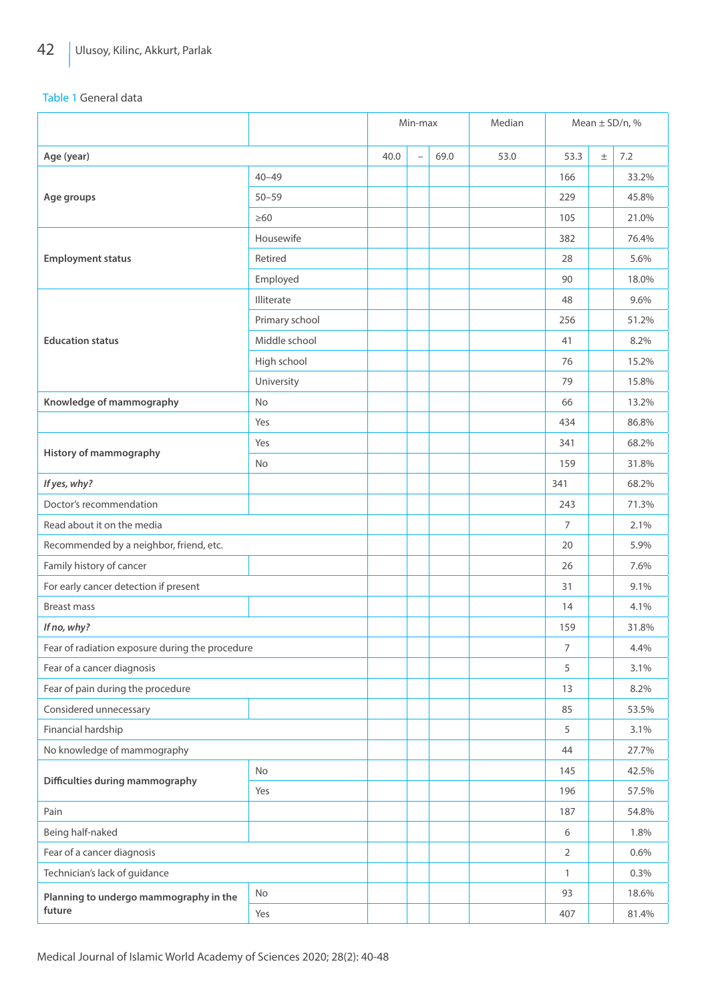Table 1 General data

|                                                 |                | Min-max |                          |      | Median |                | Mean $\pm$ SD/n, % |       |
|-------------------------------------------------|----------------|---------|--------------------------|------|--------|----------------|--------------------|-------|
| Age (year)                                      |                | 40.0    | $\overline{\phantom{0}}$ | 69.0 | 53.0   | 53.3           | $\pm$              | 7.2   |
|                                                 | $40 - 49$      |         |                          |      |        | 166            |                    | 33.2% |
| Age groups                                      | $50 - 59$      |         |                          |      |        | 229            |                    | 45.8% |
|                                                 | $\geq 60$      |         |                          |      |        | 105            |                    | 21.0% |
|                                                 | Housewife      |         |                          |      |        | 382            |                    | 76.4% |
| <b>Employment status</b>                        | Retired        |         |                          |      |        | 28             |                    | 5.6%  |
|                                                 | Employed       |         |                          |      |        | 90             |                    | 18.0% |
|                                                 | Illiterate     |         |                          |      |        | 48             |                    | 9.6%  |
|                                                 | Primary school |         |                          |      |        | 256            |                    | 51.2% |
| <b>Education status</b>                         | Middle school  |         |                          |      |        | 41             |                    | 8.2%  |
|                                                 | High school    |         |                          |      |        | 76             |                    | 15.2% |
|                                                 | University     |         |                          |      |        | 79             |                    | 15.8% |
| Knowledge of mammography                        | No             |         |                          |      |        | 66             |                    | 13.2% |
|                                                 | Yes            |         |                          |      |        | 434            |                    | 86.8% |
|                                                 | Yes            |         |                          |      |        | 341            |                    | 68.2% |
| History of mammography                          | No             |         |                          |      |        | 159            |                    | 31.8% |
| If yes, why?                                    |                |         |                          |      |        | 341            |                    | 68.2% |
| Doctor's recommendation                         |                |         |                          |      |        | 243            |                    | 71.3% |
| Read about it on the media                      |                |         |                          |      |        | 7              |                    | 2.1%  |
| Recommended by a neighbor, friend, etc.         |                |         |                          |      |        | 20             |                    | 5.9%  |
| Family history of cancer                        |                |         |                          |      |        | 26             |                    | 7.6%  |
| For early cancer detection if present           |                |         |                          |      |        | 31             |                    | 9.1%  |
| <b>Breast mass</b>                              |                |         |                          |      |        | 14             |                    | 4.1%  |
| If no, why?                                     |                |         |                          |      |        | 159            |                    | 31.8% |
| Fear of radiation exposure during the procedure |                |         |                          |      |        | $\overline{7}$ |                    | 4.4%  |
| Fear of a cancer diagnosis                      |                |         |                          |      |        | 5              |                    | 3.1%  |
| Fear of pain during the procedure               |                |         |                          |      |        | 13             |                    | 8.2%  |
| Considered unnecessary                          |                |         |                          |      |        | 85             |                    | 53.5% |
| Financial hardship                              |                |         |                          |      |        | 5              |                    | 3.1%  |
| No knowledge of mammography                     |                |         |                          |      |        | 44             |                    | 27.7% |
|                                                 | No             |         |                          |      |        | 145            |                    | 42.5% |
| Difficulties during mammography                 | Yes            |         |                          |      |        | 196            |                    | 57.5% |
| Pain                                            |                |         |                          |      |        | 187            |                    | 54.8% |
| Being half-naked                                |                |         |                          |      |        | 6              |                    | 1.8%  |
| Fear of a cancer diagnosis                      |                |         |                          |      |        | $\overline{2}$ |                    | 0.6%  |
| Technician's lack of guidance                   |                |         |                          |      |        | $\mathbf{1}$   |                    | 0.3%  |
| Planning to undergo mammography in the          | No             |         |                          |      |        | 93             |                    | 18.6% |
| future                                          | Yes            |         |                          |      |        | 407            |                    | 81.4% |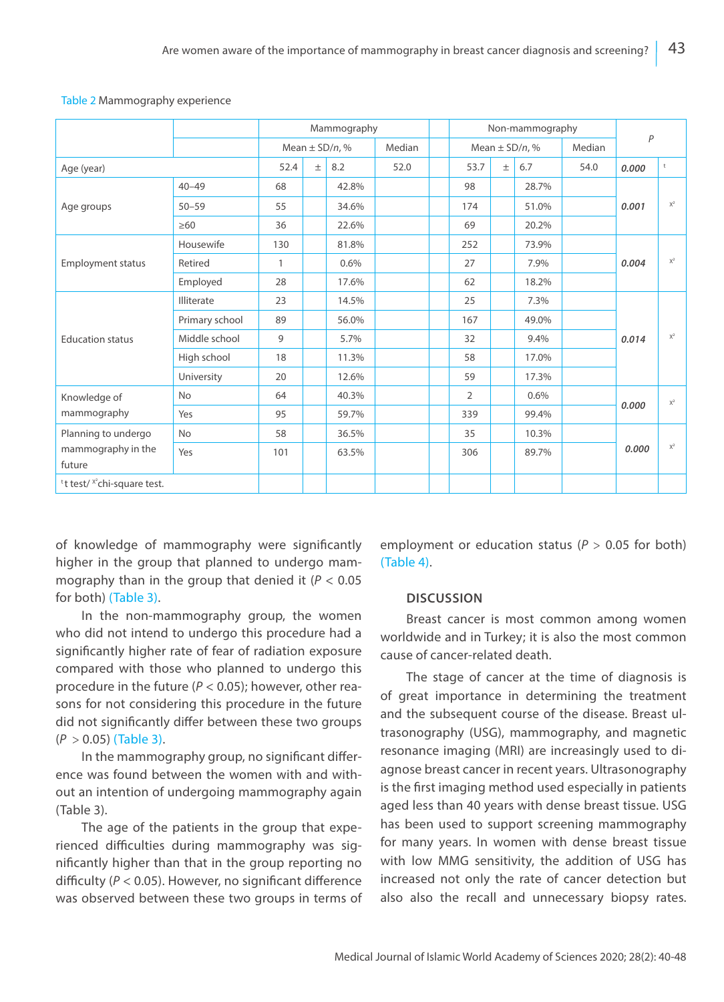|                                                     |                | Mammography        |       |       |        |  | Non-mammography    | $\overline{P}$ |       |        |       |                |  |
|-----------------------------------------------------|----------------|--------------------|-------|-------|--------|--|--------------------|----------------|-------|--------|-------|----------------|--|
|                                                     |                | Mean $\pm$ SD/n, % |       |       | Median |  | Mean $\pm$ SD/n, % |                |       | Median |       |                |  |
| Age (year)                                          |                | 52.4               | $\pm$ | 8.2   | 52.0   |  | 53.7               | $\pm$          | 6.7   | 54.0   | 0.000 | t              |  |
| Age groups                                          | $40 - 49$      | 68                 |       | 42.8% |        |  | 98                 |                | 28.7% |        |       |                |  |
|                                                     | $50 - 59$      | 55                 |       | 34.6% |        |  | 174                |                | 51.0% |        | 0.001 | $X^2$          |  |
|                                                     | $\geq 60$      | 36                 |       | 22.6% |        |  | 69                 |                | 20.2% |        |       |                |  |
|                                                     | Housewife      | 130                |       | 81.8% |        |  | 252                |                | 73.9% |        |       | $X^2$          |  |
| <b>Employment status</b>                            | Retired        | $\mathbf{1}$       |       | 0.6%  |        |  | 27                 |                | 7.9%  |        | 0.004 |                |  |
|                                                     | Employed       | 28                 |       | 17.6% |        |  | 62                 |                | 18.2% |        |       |                |  |
|                                                     | Illiterate     | 23                 |       | 14.5% |        |  | 25                 |                | 7.3%  |        |       | $X^2$          |  |
|                                                     | Primary school | 89                 |       | 56.0% |        |  | 167                |                | 49.0% |        |       |                |  |
| <b>Education status</b>                             | Middle school  | 9                  |       | 5.7%  |        |  | 32                 |                | 9.4%  |        | 0.014 |                |  |
|                                                     | High school    | 18                 |       | 11.3% |        |  | 58                 |                | 17.0% |        |       |                |  |
|                                                     | University     | 20                 |       | 12.6% |        |  | 59                 |                | 17.3% |        |       |                |  |
| Knowledge of<br>mammography                         | <b>No</b>      | 64                 |       | 40.3% |        |  | $\overline{2}$     |                | 0.6%  |        | 0.000 | $\mathsf{X}^2$ |  |
|                                                     | Yes            | 95                 |       | 59.7% |        |  | 339                |                | 99.4% |        |       |                |  |
| Planning to undergo<br>mammography in the<br>future | <b>No</b>      | 58                 |       | 36.5% |        |  | 35                 |                | 10.3% |        |       |                |  |
|                                                     | Yes            | 101                |       | 63.5% |        |  | 306                |                | 89.7% |        | 0.000 | $X^2$          |  |
| <sup>t</sup> t test/ $x^2$ chi-square test.         |                |                    |       |       |        |  |                    |                |       |        |       |                |  |

#### Table 2 Mammography experience

of knowledge of mammography were significantly higher in the group that planned to undergo mammography than in the group that denied it (*P* < 0.05 for both) (Table 3).

In the non-mammography group, the women who did not intend to undergo this procedure had a significantly higher rate of fear of radiation exposure compared with those who planned to undergo this procedure in the future (*P* < 0.05); however, other reasons for not considering this procedure in the future did not significantly differ between these two groups (*P* > 0.05) (Table 3).

In the mammography group, no significant difference was found between the women with and without an intention of undergoing mammography again (Table 3).

The age of the patients in the group that experienced difficulties during mammography was significantly higher than that in the group reporting no difficulty (*P* < 0.05). However, no significant difference was observed between these two groups in terms of employment or education status ( $P > 0.05$  for both) (Table 4).

### **DISCUSSION**

Breast cancer is most common among women worldwide and in Turkey; it is also the most common cause of cancer-related death.

The stage of cancer at the time of diagnosis is of great importance in determining the treatment and the subsequent course of the disease. Breast ultrasonography (USG), mammography, and magnetic resonance imaging (MRI) are increasingly used to diagnose breast cancer in recent years. Ultrasonography is the first imaging method used especially in patients aged less than 40 years with dense breast tissue. USG has been used to support screening mammography for many years. In women with dense breast tissue with low MMG sensitivity, the addition of USG has increased not only the rate of cancer detection but also also the recall and unnecessary biopsy rates.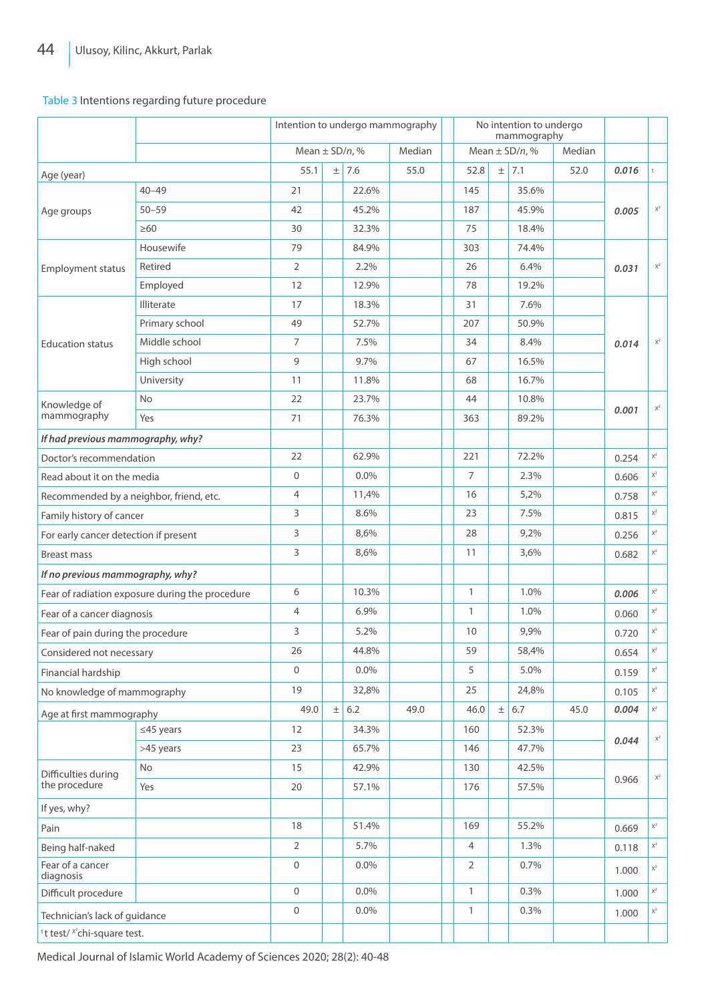### Table 3 Intentions regarding future procedure

| Mean $\pm$ SD/n, %<br>Mean $\pm$ SD/n, %<br>Median<br>Median<br>55.1<br>7.6<br>$\pm$<br>7.1<br>$\pm$<br>55.0<br>52.8<br>52.0<br>$^\mathrm{t}$<br>0.016<br>Age (year)<br>$40 - 49$<br>22.6%<br>145<br>35.6%<br>21<br>$\mathsf{X}^2$<br>$50 - 59$<br>45.2%<br>45.9%<br>42<br>187<br>0.005<br>Age groups<br>$\geq 60$<br>30<br>32.3%<br>75<br>18.4%<br>Housewife<br>79<br>84.9%<br>303<br>74.4%<br>$\mathsf{X}^2$<br>Retired<br>2<br>2.2%<br>26<br>6.4%<br>0.031<br><b>Employment status</b><br>Employed<br>12<br>12.9%<br>78<br>19.2%<br>Illiterate<br>17<br>7.6%<br>18.3%<br>31<br>Primary school<br>49<br>52.7%<br>207<br>50.9%<br>Middle school<br>$\mathsf{X}^2$<br>$\overline{7}$<br>7.5%<br>34<br>8.4%<br>0.014<br><b>Education status</b><br>9<br>9.7%<br>High school<br>16.5%<br>67<br>University<br>11<br>11.8%<br>68<br>16.7%<br>No<br>22<br>23.7%<br>44<br>10.8%<br>Knowledge of<br>$\mathsf{X}^2$<br>0.001<br>mammography<br>Yes<br>76.3%<br>89.2%<br>71<br>363<br>If had previous mammography, why?<br>72.2%<br>$\mathsf{X}^2$<br>22<br>62.9%<br>221<br>Doctor's recommendation<br>0.254<br>$\mathsf{X}^2$<br>$\overline{7}$<br>0<br>$0.0\%$<br>2.3%<br>Read about it on the media<br>0.606<br>$\overline{4}$<br>$\mathsf{X}^2$<br>11,4%<br>16<br>5,2%<br>Recommended by a neighbor, friend, etc.<br>0.758<br>3<br>8.6%<br>23<br>7.5%<br>$\mathsf{X}^2$<br>Family history of cancer<br>0.815<br>3<br>8,6%<br>28<br>9,2%<br>$\mathsf{X}^2$<br>For early cancer detection if present<br>0.256<br>3<br>$\mathsf{X}^2$<br>8,6%<br>11<br>3,6%<br>0.682<br><b>Breast mass</b><br>If no previous mammography, why?<br>6<br>$\mathsf{X}^2$<br>10.3%<br>$\mathbf{1}$<br>1.0%<br>Fear of radiation exposure during the procedure<br>0.006<br>$\overline{4}$<br>6.9%<br>$\mathbf{1}$<br>1.0%<br>$\mathsf{X}^2$<br>Fear of a cancer diagnosis<br>0.060<br>$\mathsf{X}^2$<br>3<br>5.2%<br>10<br>9,9%<br>Fear of pain during the procedure<br>0.720<br>26<br>44.8%<br>59<br>$\mathsf{X}^2$<br>58,4%<br>Considered not necessary<br>0.654<br>0<br>$0.0\%$<br>5<br>5.0%<br>$\mathsf{X}^2$<br>Financial hardship<br>0.159<br>19<br>32,8%<br>25<br>24,8%<br>$\mathsf{X}^2$<br>No knowledge of mammography<br>0.105<br>$\pm$ 6.7<br>0.004<br>$\mathsf{X}^2$<br>$\pm$ 6.2<br>45.0<br>49.0<br>49.0<br>46.0<br>Age at first mammography<br>$\leq$ 45 years<br>12<br>34.3%<br>160<br>52.3%<br>$\mathsf{X}^2$<br>0.044<br>65.7%<br>>45 years<br>23<br>146<br>47.7%<br>No<br>15<br>42.9%<br>130<br>42.5%<br>Difficulties during<br>$\mathsf{X}^2$<br>0.966<br>the procedure<br>Yes<br>20<br>57.1%<br>176<br>57.5%<br>If yes, why?<br>55.2%<br>$\mathsf{X}^2$<br>18<br>51.4%<br>169<br>Pain<br>0.669<br>2<br>5.7%<br>4<br>1.3%<br>$\mathsf{X}^2$<br>Being half-naked<br>0.118<br>Fear of a cancer<br>$\boldsymbol{0}$<br>$\overline{2}$<br>$0.0\%$<br>0.7%<br>$\mathsf{X}^2$<br>1.000<br>diagnosis<br>$\mathsf{O}\xspace$<br>$0.0\%$<br>$\mathbf{1}$<br>0.3%<br>$\mathsf{X}^2$<br>Difficult procedure<br>1.000<br>0<br>$\mathbf{1}$<br>$0.0\%$<br>0.3%<br>$\mathsf{X}^2$<br>1.000<br>Technician's lack of guidance<br><sup>t</sup> t test/ <sup>x2</sup> chi-square test. |  |  | Intention to undergo mammography |  |  |  |  |  | No intention to undergo<br>mammography |  |  |  |  |  |
|------------------------------------------------------------------------------------------------------------------------------------------------------------------------------------------------------------------------------------------------------------------------------------------------------------------------------------------------------------------------------------------------------------------------------------------------------------------------------------------------------------------------------------------------------------------------------------------------------------------------------------------------------------------------------------------------------------------------------------------------------------------------------------------------------------------------------------------------------------------------------------------------------------------------------------------------------------------------------------------------------------------------------------------------------------------------------------------------------------------------------------------------------------------------------------------------------------------------------------------------------------------------------------------------------------------------------------------------------------------------------------------------------------------------------------------------------------------------------------------------------------------------------------------------------------------------------------------------------------------------------------------------------------------------------------------------------------------------------------------------------------------------------------------------------------------------------------------------------------------------------------------------------------------------------------------------------------------------------------------------------------------------------------------------------------------------------------------------------------------------------------------------------------------------------------------------------------------------------------------------------------------------------------------------------------------------------------------------------------------------------------------------------------------------------------------------------------------------------------------------------------------------------------------------------------------------------------------------------------------------------------------------------------------------------------------------------------------------------------------------------------------------------------------------------------------------------------------------------------------------------------------------------------------------------------------------------------------------------------------------------------------------------------------------------------------------------------------------------------------------------------------------------------|--|--|----------------------------------|--|--|--|--|--|----------------------------------------|--|--|--|--|--|
|                                                                                                                                                                                                                                                                                                                                                                                                                                                                                                                                                                                                                                                                                                                                                                                                                                                                                                                                                                                                                                                                                                                                                                                                                                                                                                                                                                                                                                                                                                                                                                                                                                                                                                                                                                                                                                                                                                                                                                                                                                                                                                                                                                                                                                                                                                                                                                                                                                                                                                                                                                                                                                                                                                                                                                                                                                                                                                                                                                                                                                                                                                                                                            |  |  |                                  |  |  |  |  |  |                                        |  |  |  |  |  |
|                                                                                                                                                                                                                                                                                                                                                                                                                                                                                                                                                                                                                                                                                                                                                                                                                                                                                                                                                                                                                                                                                                                                                                                                                                                                                                                                                                                                                                                                                                                                                                                                                                                                                                                                                                                                                                                                                                                                                                                                                                                                                                                                                                                                                                                                                                                                                                                                                                                                                                                                                                                                                                                                                                                                                                                                                                                                                                                                                                                                                                                                                                                                                            |  |  |                                  |  |  |  |  |  |                                        |  |  |  |  |  |
|                                                                                                                                                                                                                                                                                                                                                                                                                                                                                                                                                                                                                                                                                                                                                                                                                                                                                                                                                                                                                                                                                                                                                                                                                                                                                                                                                                                                                                                                                                                                                                                                                                                                                                                                                                                                                                                                                                                                                                                                                                                                                                                                                                                                                                                                                                                                                                                                                                                                                                                                                                                                                                                                                                                                                                                                                                                                                                                                                                                                                                                                                                                                                            |  |  |                                  |  |  |  |  |  |                                        |  |  |  |  |  |
|                                                                                                                                                                                                                                                                                                                                                                                                                                                                                                                                                                                                                                                                                                                                                                                                                                                                                                                                                                                                                                                                                                                                                                                                                                                                                                                                                                                                                                                                                                                                                                                                                                                                                                                                                                                                                                                                                                                                                                                                                                                                                                                                                                                                                                                                                                                                                                                                                                                                                                                                                                                                                                                                                                                                                                                                                                                                                                                                                                                                                                                                                                                                                            |  |  |                                  |  |  |  |  |  |                                        |  |  |  |  |  |
|                                                                                                                                                                                                                                                                                                                                                                                                                                                                                                                                                                                                                                                                                                                                                                                                                                                                                                                                                                                                                                                                                                                                                                                                                                                                                                                                                                                                                                                                                                                                                                                                                                                                                                                                                                                                                                                                                                                                                                                                                                                                                                                                                                                                                                                                                                                                                                                                                                                                                                                                                                                                                                                                                                                                                                                                                                                                                                                                                                                                                                                                                                                                                            |  |  |                                  |  |  |  |  |  |                                        |  |  |  |  |  |
|                                                                                                                                                                                                                                                                                                                                                                                                                                                                                                                                                                                                                                                                                                                                                                                                                                                                                                                                                                                                                                                                                                                                                                                                                                                                                                                                                                                                                                                                                                                                                                                                                                                                                                                                                                                                                                                                                                                                                                                                                                                                                                                                                                                                                                                                                                                                                                                                                                                                                                                                                                                                                                                                                                                                                                                                                                                                                                                                                                                                                                                                                                                                                            |  |  |                                  |  |  |  |  |  |                                        |  |  |  |  |  |
|                                                                                                                                                                                                                                                                                                                                                                                                                                                                                                                                                                                                                                                                                                                                                                                                                                                                                                                                                                                                                                                                                                                                                                                                                                                                                                                                                                                                                                                                                                                                                                                                                                                                                                                                                                                                                                                                                                                                                                                                                                                                                                                                                                                                                                                                                                                                                                                                                                                                                                                                                                                                                                                                                                                                                                                                                                                                                                                                                                                                                                                                                                                                                            |  |  |                                  |  |  |  |  |  |                                        |  |  |  |  |  |
|                                                                                                                                                                                                                                                                                                                                                                                                                                                                                                                                                                                                                                                                                                                                                                                                                                                                                                                                                                                                                                                                                                                                                                                                                                                                                                                                                                                                                                                                                                                                                                                                                                                                                                                                                                                                                                                                                                                                                                                                                                                                                                                                                                                                                                                                                                                                                                                                                                                                                                                                                                                                                                                                                                                                                                                                                                                                                                                                                                                                                                                                                                                                                            |  |  |                                  |  |  |  |  |  |                                        |  |  |  |  |  |
|                                                                                                                                                                                                                                                                                                                                                                                                                                                                                                                                                                                                                                                                                                                                                                                                                                                                                                                                                                                                                                                                                                                                                                                                                                                                                                                                                                                                                                                                                                                                                                                                                                                                                                                                                                                                                                                                                                                                                                                                                                                                                                                                                                                                                                                                                                                                                                                                                                                                                                                                                                                                                                                                                                                                                                                                                                                                                                                                                                                                                                                                                                                                                            |  |  |                                  |  |  |  |  |  |                                        |  |  |  |  |  |
|                                                                                                                                                                                                                                                                                                                                                                                                                                                                                                                                                                                                                                                                                                                                                                                                                                                                                                                                                                                                                                                                                                                                                                                                                                                                                                                                                                                                                                                                                                                                                                                                                                                                                                                                                                                                                                                                                                                                                                                                                                                                                                                                                                                                                                                                                                                                                                                                                                                                                                                                                                                                                                                                                                                                                                                                                                                                                                                                                                                                                                                                                                                                                            |  |  |                                  |  |  |  |  |  |                                        |  |  |  |  |  |
|                                                                                                                                                                                                                                                                                                                                                                                                                                                                                                                                                                                                                                                                                                                                                                                                                                                                                                                                                                                                                                                                                                                                                                                                                                                                                                                                                                                                                                                                                                                                                                                                                                                                                                                                                                                                                                                                                                                                                                                                                                                                                                                                                                                                                                                                                                                                                                                                                                                                                                                                                                                                                                                                                                                                                                                                                                                                                                                                                                                                                                                                                                                                                            |  |  |                                  |  |  |  |  |  |                                        |  |  |  |  |  |
|                                                                                                                                                                                                                                                                                                                                                                                                                                                                                                                                                                                                                                                                                                                                                                                                                                                                                                                                                                                                                                                                                                                                                                                                                                                                                                                                                                                                                                                                                                                                                                                                                                                                                                                                                                                                                                                                                                                                                                                                                                                                                                                                                                                                                                                                                                                                                                                                                                                                                                                                                                                                                                                                                                                                                                                                                                                                                                                                                                                                                                                                                                                                                            |  |  |                                  |  |  |  |  |  |                                        |  |  |  |  |  |
|                                                                                                                                                                                                                                                                                                                                                                                                                                                                                                                                                                                                                                                                                                                                                                                                                                                                                                                                                                                                                                                                                                                                                                                                                                                                                                                                                                                                                                                                                                                                                                                                                                                                                                                                                                                                                                                                                                                                                                                                                                                                                                                                                                                                                                                                                                                                                                                                                                                                                                                                                                                                                                                                                                                                                                                                                                                                                                                                                                                                                                                                                                                                                            |  |  |                                  |  |  |  |  |  |                                        |  |  |  |  |  |
|                                                                                                                                                                                                                                                                                                                                                                                                                                                                                                                                                                                                                                                                                                                                                                                                                                                                                                                                                                                                                                                                                                                                                                                                                                                                                                                                                                                                                                                                                                                                                                                                                                                                                                                                                                                                                                                                                                                                                                                                                                                                                                                                                                                                                                                                                                                                                                                                                                                                                                                                                                                                                                                                                                                                                                                                                                                                                                                                                                                                                                                                                                                                                            |  |  |                                  |  |  |  |  |  |                                        |  |  |  |  |  |
|                                                                                                                                                                                                                                                                                                                                                                                                                                                                                                                                                                                                                                                                                                                                                                                                                                                                                                                                                                                                                                                                                                                                                                                                                                                                                                                                                                                                                                                                                                                                                                                                                                                                                                                                                                                                                                                                                                                                                                                                                                                                                                                                                                                                                                                                                                                                                                                                                                                                                                                                                                                                                                                                                                                                                                                                                                                                                                                                                                                                                                                                                                                                                            |  |  |                                  |  |  |  |  |  |                                        |  |  |  |  |  |
|                                                                                                                                                                                                                                                                                                                                                                                                                                                                                                                                                                                                                                                                                                                                                                                                                                                                                                                                                                                                                                                                                                                                                                                                                                                                                                                                                                                                                                                                                                                                                                                                                                                                                                                                                                                                                                                                                                                                                                                                                                                                                                                                                                                                                                                                                                                                                                                                                                                                                                                                                                                                                                                                                                                                                                                                                                                                                                                                                                                                                                                                                                                                                            |  |  |                                  |  |  |  |  |  |                                        |  |  |  |  |  |
|                                                                                                                                                                                                                                                                                                                                                                                                                                                                                                                                                                                                                                                                                                                                                                                                                                                                                                                                                                                                                                                                                                                                                                                                                                                                                                                                                                                                                                                                                                                                                                                                                                                                                                                                                                                                                                                                                                                                                                                                                                                                                                                                                                                                                                                                                                                                                                                                                                                                                                                                                                                                                                                                                                                                                                                                                                                                                                                                                                                                                                                                                                                                                            |  |  |                                  |  |  |  |  |  |                                        |  |  |  |  |  |
|                                                                                                                                                                                                                                                                                                                                                                                                                                                                                                                                                                                                                                                                                                                                                                                                                                                                                                                                                                                                                                                                                                                                                                                                                                                                                                                                                                                                                                                                                                                                                                                                                                                                                                                                                                                                                                                                                                                                                                                                                                                                                                                                                                                                                                                                                                                                                                                                                                                                                                                                                                                                                                                                                                                                                                                                                                                                                                                                                                                                                                                                                                                                                            |  |  |                                  |  |  |  |  |  |                                        |  |  |  |  |  |
|                                                                                                                                                                                                                                                                                                                                                                                                                                                                                                                                                                                                                                                                                                                                                                                                                                                                                                                                                                                                                                                                                                                                                                                                                                                                                                                                                                                                                                                                                                                                                                                                                                                                                                                                                                                                                                                                                                                                                                                                                                                                                                                                                                                                                                                                                                                                                                                                                                                                                                                                                                                                                                                                                                                                                                                                                                                                                                                                                                                                                                                                                                                                                            |  |  |                                  |  |  |  |  |  |                                        |  |  |  |  |  |
|                                                                                                                                                                                                                                                                                                                                                                                                                                                                                                                                                                                                                                                                                                                                                                                                                                                                                                                                                                                                                                                                                                                                                                                                                                                                                                                                                                                                                                                                                                                                                                                                                                                                                                                                                                                                                                                                                                                                                                                                                                                                                                                                                                                                                                                                                                                                                                                                                                                                                                                                                                                                                                                                                                                                                                                                                                                                                                                                                                                                                                                                                                                                                            |  |  |                                  |  |  |  |  |  |                                        |  |  |  |  |  |
|                                                                                                                                                                                                                                                                                                                                                                                                                                                                                                                                                                                                                                                                                                                                                                                                                                                                                                                                                                                                                                                                                                                                                                                                                                                                                                                                                                                                                                                                                                                                                                                                                                                                                                                                                                                                                                                                                                                                                                                                                                                                                                                                                                                                                                                                                                                                                                                                                                                                                                                                                                                                                                                                                                                                                                                                                                                                                                                                                                                                                                                                                                                                                            |  |  |                                  |  |  |  |  |  |                                        |  |  |  |  |  |
|                                                                                                                                                                                                                                                                                                                                                                                                                                                                                                                                                                                                                                                                                                                                                                                                                                                                                                                                                                                                                                                                                                                                                                                                                                                                                                                                                                                                                                                                                                                                                                                                                                                                                                                                                                                                                                                                                                                                                                                                                                                                                                                                                                                                                                                                                                                                                                                                                                                                                                                                                                                                                                                                                                                                                                                                                                                                                                                                                                                                                                                                                                                                                            |  |  |                                  |  |  |  |  |  |                                        |  |  |  |  |  |
|                                                                                                                                                                                                                                                                                                                                                                                                                                                                                                                                                                                                                                                                                                                                                                                                                                                                                                                                                                                                                                                                                                                                                                                                                                                                                                                                                                                                                                                                                                                                                                                                                                                                                                                                                                                                                                                                                                                                                                                                                                                                                                                                                                                                                                                                                                                                                                                                                                                                                                                                                                                                                                                                                                                                                                                                                                                                                                                                                                                                                                                                                                                                                            |  |  |                                  |  |  |  |  |  |                                        |  |  |  |  |  |
|                                                                                                                                                                                                                                                                                                                                                                                                                                                                                                                                                                                                                                                                                                                                                                                                                                                                                                                                                                                                                                                                                                                                                                                                                                                                                                                                                                                                                                                                                                                                                                                                                                                                                                                                                                                                                                                                                                                                                                                                                                                                                                                                                                                                                                                                                                                                                                                                                                                                                                                                                                                                                                                                                                                                                                                                                                                                                                                                                                                                                                                                                                                                                            |  |  |                                  |  |  |  |  |  |                                        |  |  |  |  |  |
|                                                                                                                                                                                                                                                                                                                                                                                                                                                                                                                                                                                                                                                                                                                                                                                                                                                                                                                                                                                                                                                                                                                                                                                                                                                                                                                                                                                                                                                                                                                                                                                                                                                                                                                                                                                                                                                                                                                                                                                                                                                                                                                                                                                                                                                                                                                                                                                                                                                                                                                                                                                                                                                                                                                                                                                                                                                                                                                                                                                                                                                                                                                                                            |  |  |                                  |  |  |  |  |  |                                        |  |  |  |  |  |
|                                                                                                                                                                                                                                                                                                                                                                                                                                                                                                                                                                                                                                                                                                                                                                                                                                                                                                                                                                                                                                                                                                                                                                                                                                                                                                                                                                                                                                                                                                                                                                                                                                                                                                                                                                                                                                                                                                                                                                                                                                                                                                                                                                                                                                                                                                                                                                                                                                                                                                                                                                                                                                                                                                                                                                                                                                                                                                                                                                                                                                                                                                                                                            |  |  |                                  |  |  |  |  |  |                                        |  |  |  |  |  |
|                                                                                                                                                                                                                                                                                                                                                                                                                                                                                                                                                                                                                                                                                                                                                                                                                                                                                                                                                                                                                                                                                                                                                                                                                                                                                                                                                                                                                                                                                                                                                                                                                                                                                                                                                                                                                                                                                                                                                                                                                                                                                                                                                                                                                                                                                                                                                                                                                                                                                                                                                                                                                                                                                                                                                                                                                                                                                                                                                                                                                                                                                                                                                            |  |  |                                  |  |  |  |  |  |                                        |  |  |  |  |  |
|                                                                                                                                                                                                                                                                                                                                                                                                                                                                                                                                                                                                                                                                                                                                                                                                                                                                                                                                                                                                                                                                                                                                                                                                                                                                                                                                                                                                                                                                                                                                                                                                                                                                                                                                                                                                                                                                                                                                                                                                                                                                                                                                                                                                                                                                                                                                                                                                                                                                                                                                                                                                                                                                                                                                                                                                                                                                                                                                                                                                                                                                                                                                                            |  |  |                                  |  |  |  |  |  |                                        |  |  |  |  |  |
|                                                                                                                                                                                                                                                                                                                                                                                                                                                                                                                                                                                                                                                                                                                                                                                                                                                                                                                                                                                                                                                                                                                                                                                                                                                                                                                                                                                                                                                                                                                                                                                                                                                                                                                                                                                                                                                                                                                                                                                                                                                                                                                                                                                                                                                                                                                                                                                                                                                                                                                                                                                                                                                                                                                                                                                                                                                                                                                                                                                                                                                                                                                                                            |  |  |                                  |  |  |  |  |  |                                        |  |  |  |  |  |
|                                                                                                                                                                                                                                                                                                                                                                                                                                                                                                                                                                                                                                                                                                                                                                                                                                                                                                                                                                                                                                                                                                                                                                                                                                                                                                                                                                                                                                                                                                                                                                                                                                                                                                                                                                                                                                                                                                                                                                                                                                                                                                                                                                                                                                                                                                                                                                                                                                                                                                                                                                                                                                                                                                                                                                                                                                                                                                                                                                                                                                                                                                                                                            |  |  |                                  |  |  |  |  |  |                                        |  |  |  |  |  |
|                                                                                                                                                                                                                                                                                                                                                                                                                                                                                                                                                                                                                                                                                                                                                                                                                                                                                                                                                                                                                                                                                                                                                                                                                                                                                                                                                                                                                                                                                                                                                                                                                                                                                                                                                                                                                                                                                                                                                                                                                                                                                                                                                                                                                                                                                                                                                                                                                                                                                                                                                                                                                                                                                                                                                                                                                                                                                                                                                                                                                                                                                                                                                            |  |  |                                  |  |  |  |  |  |                                        |  |  |  |  |  |
|                                                                                                                                                                                                                                                                                                                                                                                                                                                                                                                                                                                                                                                                                                                                                                                                                                                                                                                                                                                                                                                                                                                                                                                                                                                                                                                                                                                                                                                                                                                                                                                                                                                                                                                                                                                                                                                                                                                                                                                                                                                                                                                                                                                                                                                                                                                                                                                                                                                                                                                                                                                                                                                                                                                                                                                                                                                                                                                                                                                                                                                                                                                                                            |  |  |                                  |  |  |  |  |  |                                        |  |  |  |  |  |
|                                                                                                                                                                                                                                                                                                                                                                                                                                                                                                                                                                                                                                                                                                                                                                                                                                                                                                                                                                                                                                                                                                                                                                                                                                                                                                                                                                                                                                                                                                                                                                                                                                                                                                                                                                                                                                                                                                                                                                                                                                                                                                                                                                                                                                                                                                                                                                                                                                                                                                                                                                                                                                                                                                                                                                                                                                                                                                                                                                                                                                                                                                                                                            |  |  |                                  |  |  |  |  |  |                                        |  |  |  |  |  |
|                                                                                                                                                                                                                                                                                                                                                                                                                                                                                                                                                                                                                                                                                                                                                                                                                                                                                                                                                                                                                                                                                                                                                                                                                                                                                                                                                                                                                                                                                                                                                                                                                                                                                                                                                                                                                                                                                                                                                                                                                                                                                                                                                                                                                                                                                                                                                                                                                                                                                                                                                                                                                                                                                                                                                                                                                                                                                                                                                                                                                                                                                                                                                            |  |  |                                  |  |  |  |  |  |                                        |  |  |  |  |  |
|                                                                                                                                                                                                                                                                                                                                                                                                                                                                                                                                                                                                                                                                                                                                                                                                                                                                                                                                                                                                                                                                                                                                                                                                                                                                                                                                                                                                                                                                                                                                                                                                                                                                                                                                                                                                                                                                                                                                                                                                                                                                                                                                                                                                                                                                                                                                                                                                                                                                                                                                                                                                                                                                                                                                                                                                                                                                                                                                                                                                                                                                                                                                                            |  |  |                                  |  |  |  |  |  |                                        |  |  |  |  |  |
|                                                                                                                                                                                                                                                                                                                                                                                                                                                                                                                                                                                                                                                                                                                                                                                                                                                                                                                                                                                                                                                                                                                                                                                                                                                                                                                                                                                                                                                                                                                                                                                                                                                                                                                                                                                                                                                                                                                                                                                                                                                                                                                                                                                                                                                                                                                                                                                                                                                                                                                                                                                                                                                                                                                                                                                                                                                                                                                                                                                                                                                                                                                                                            |  |  |                                  |  |  |  |  |  |                                        |  |  |  |  |  |
|                                                                                                                                                                                                                                                                                                                                                                                                                                                                                                                                                                                                                                                                                                                                                                                                                                                                                                                                                                                                                                                                                                                                                                                                                                                                                                                                                                                                                                                                                                                                                                                                                                                                                                                                                                                                                                                                                                                                                                                                                                                                                                                                                                                                                                                                                                                                                                                                                                                                                                                                                                                                                                                                                                                                                                                                                                                                                                                                                                                                                                                                                                                                                            |  |  |                                  |  |  |  |  |  |                                        |  |  |  |  |  |
|                                                                                                                                                                                                                                                                                                                                                                                                                                                                                                                                                                                                                                                                                                                                                                                                                                                                                                                                                                                                                                                                                                                                                                                                                                                                                                                                                                                                                                                                                                                                                                                                                                                                                                                                                                                                                                                                                                                                                                                                                                                                                                                                                                                                                                                                                                                                                                                                                                                                                                                                                                                                                                                                                                                                                                                                                                                                                                                                                                                                                                                                                                                                                            |  |  |                                  |  |  |  |  |  |                                        |  |  |  |  |  |
|                                                                                                                                                                                                                                                                                                                                                                                                                                                                                                                                                                                                                                                                                                                                                                                                                                                                                                                                                                                                                                                                                                                                                                                                                                                                                                                                                                                                                                                                                                                                                                                                                                                                                                                                                                                                                                                                                                                                                                                                                                                                                                                                                                                                                                                                                                                                                                                                                                                                                                                                                                                                                                                                                                                                                                                                                                                                                                                                                                                                                                                                                                                                                            |  |  |                                  |  |  |  |  |  |                                        |  |  |  |  |  |
|                                                                                                                                                                                                                                                                                                                                                                                                                                                                                                                                                                                                                                                                                                                                                                                                                                                                                                                                                                                                                                                                                                                                                                                                                                                                                                                                                                                                                                                                                                                                                                                                                                                                                                                                                                                                                                                                                                                                                                                                                                                                                                                                                                                                                                                                                                                                                                                                                                                                                                                                                                                                                                                                                                                                                                                                                                                                                                                                                                                                                                                                                                                                                            |  |  |                                  |  |  |  |  |  |                                        |  |  |  |  |  |
|                                                                                                                                                                                                                                                                                                                                                                                                                                                                                                                                                                                                                                                                                                                                                                                                                                                                                                                                                                                                                                                                                                                                                                                                                                                                                                                                                                                                                                                                                                                                                                                                                                                                                                                                                                                                                                                                                                                                                                                                                                                                                                                                                                                                                                                                                                                                                                                                                                                                                                                                                                                                                                                                                                                                                                                                                                                                                                                                                                                                                                                                                                                                                            |  |  |                                  |  |  |  |  |  |                                        |  |  |  |  |  |

Medical Journal of Islamic World Academy of Sciences 2020; 28(2): 40-48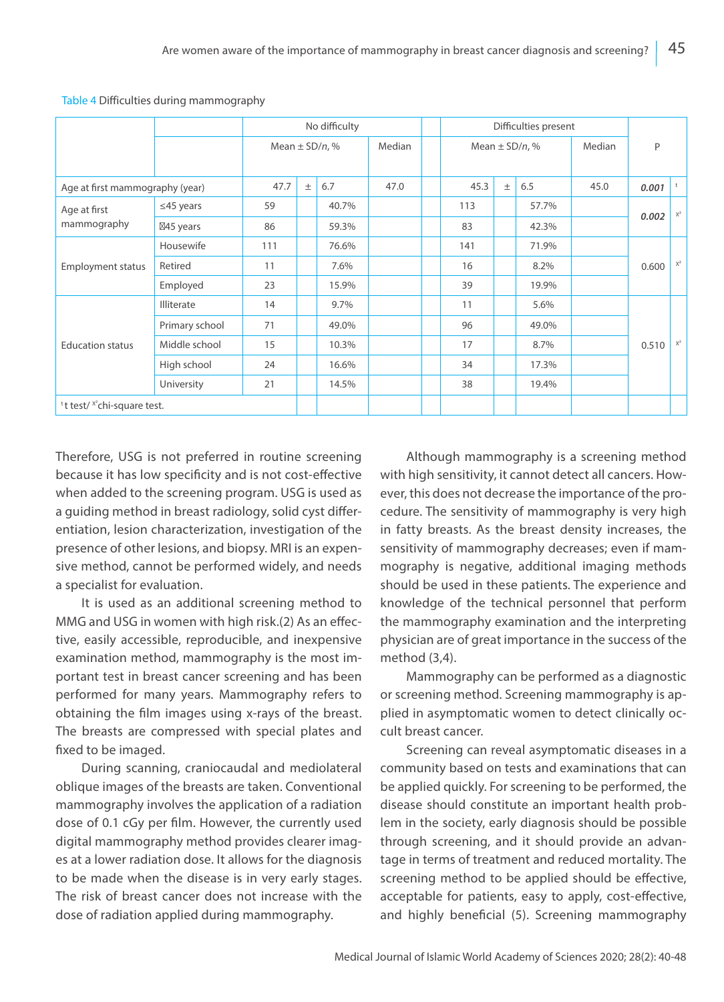|                                                     |                   | No difficulty      |       |       |        |  | Difficulties present |       |                    |        |       |                |
|-----------------------------------------------------|-------------------|--------------------|-------|-------|--------|--|----------------------|-------|--------------------|--------|-------|----------------|
|                                                     |                   | Mean $\pm$ SD/n, % |       |       | Median |  |                      |       | Mean $\pm$ SD/n, % | Median | P     |                |
|                                                     |                   |                    |       |       |        |  |                      |       |                    |        |       |                |
| Age at first mammography (year)                     |                   | 47.7               | $\pm$ | 6.7   | 47.0   |  | 45.3                 | $\pm$ | 6.5                | 45.0   | 0.001 | t              |
| Age at first<br>mammography                         | $\leq$ 45 years   | 59                 |       | 40.7% |        |  | 113                  |       | 57.7%              |        | 0.002 | $X^2$          |
|                                                     | 45 years          | 86                 |       | 59.3% |        |  | 83                   |       | 42.3%              |        |       |                |
| <b>Employment status</b>                            | Housewife         | 111                |       | 76.6% |        |  | 141                  |       | 71.9%              |        |       |                |
|                                                     | Retired           | 11                 |       | 7.6%  |        |  | 16                   |       | 8.2%               |        | 0.600 | $\mathsf{X}^2$ |
|                                                     | Employed          | 23                 |       | 15.9% |        |  | 39                   |       | 19.9%              |        |       |                |
| <b>Education status</b>                             | <b>Illiterate</b> | 14                 |       | 9.7%  |        |  | 11                   |       | 5.6%               |        |       |                |
|                                                     | Primary school    | 71                 |       | 49.0% |        |  | 96                   |       | 49.0%              |        |       |                |
|                                                     | Middle school     | 15                 |       | 10.3% |        |  | 17                   |       | 8.7%               |        | 0.510 | $\mathsf{X}^2$ |
|                                                     | High school       | 24                 |       | 16.6% |        |  | 34                   |       | 17.3%              |        |       |                |
|                                                     | University        | 21                 |       | 14.5% |        |  | 38                   |       | 19.4%              |        |       |                |
| <sup>t</sup> t test/ <sup>x2</sup> chi-square test. |                   |                    |       |       |        |  |                      |       |                    |        |       |                |

Table 4 Difficulties during mammography

Therefore, USG is not preferred in routine screening because it has low specificity and is not cost-effective when added to the screening program. USG is used as a guiding method in breast radiology, solid cyst differentiation, lesion characterization, investigation of the presence of other lesions, and biopsy. MRI is an expensive method, cannot be performed widely, and needs a specialist for evaluation.

It is used as an additional screening method to MMG and USG in women with high risk.(2) As an effective, easily accessible, reproducible, and inexpensive examination method, mammography is the most important test in breast cancer screening and has been performed for many years. Mammography refers to obtaining the film images using x-rays of the breast. The breasts are compressed with special plates and fixed to be imaged.

During scanning, craniocaudal and mediolateral oblique images of the breasts are taken. Conventional mammography involves the application of a radiation dose of 0.1 cGy per film. However, the currently used digital mammography method provides clearer images at a lower radiation dose. It allows for the diagnosis to be made when the disease is in very early stages. The risk of breast cancer does not increase with the dose of radiation applied during mammography.

Although mammography is a screening method with high sensitivity, it cannot detect all cancers. However, this does not decrease the importance of the procedure. The sensitivity of mammography is very high in fatty breasts. As the breast density increases, the sensitivity of mammography decreases; even if mammography is negative, additional imaging methods should be used in these patients. The experience and knowledge of the technical personnel that perform the mammography examination and the interpreting physician are of great importance in the success of the method (3,4).

Mammography can be performed as a diagnostic or screening method. Screening mammography is applied in asymptomatic women to detect clinically occult breast cancer.

Screening can reveal asymptomatic diseases in a community based on tests and examinations that can be applied quickly. For screening to be performed, the disease should constitute an important health problem in the society, early diagnosis should be possible through screening, and it should provide an advantage in terms of treatment and reduced mortality. The screening method to be applied should be effective, acceptable for patients, easy to apply, cost-effective, and highly beneficial (5). Screening mammography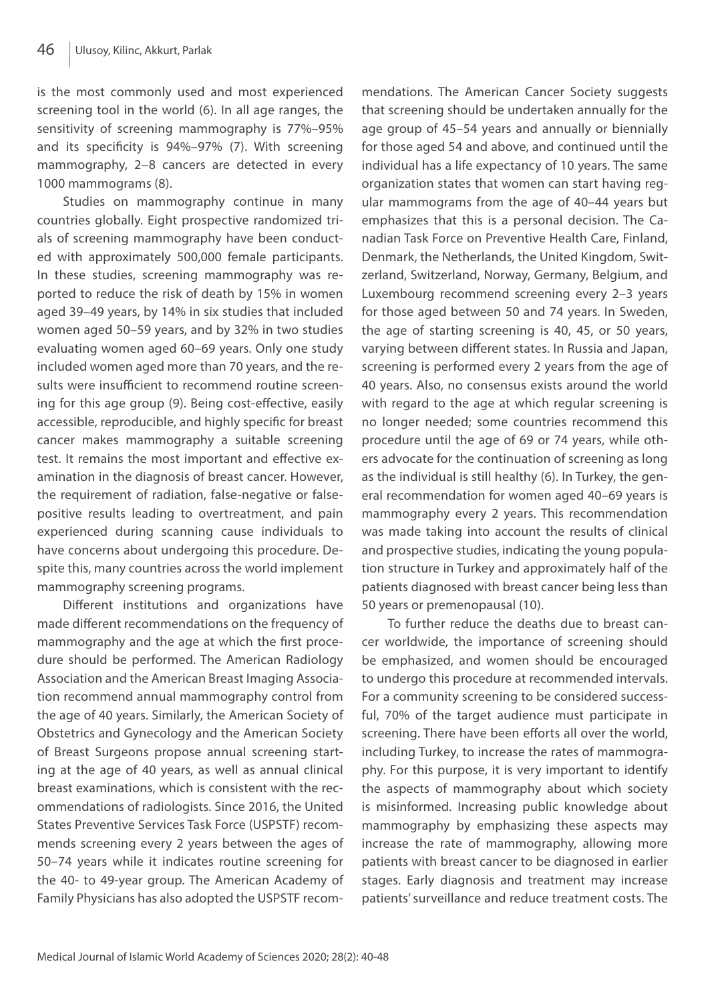is the most commonly used and most experienced screening tool in the world (6). In all age ranges, the sensitivity of screening mammography is 77%–95% and its specificity is 94%–97% (7). With screening mammography, 2−8 cancers are detected in every 1000 mammograms (8).

Studies on mammography continue in many countries globally. Eight prospective randomized trials of screening mammography have been conducted with approximately 500,000 female participants. In these studies, screening mammography was reported to reduce the risk of death by 15% in women aged 39–49 years, by 14% in six studies that included women aged 50–59 years, and by 32% in two studies evaluating women aged 60–69 years. Only one study included women aged more than 70 years, and the results were insufficient to recommend routine screening for this age group (9). Being cost-effective, easily accessible, reproducible, and highly specific for breast cancer makes mammography a suitable screening test. It remains the most important and effective examination in the diagnosis of breast cancer. However, the requirement of radiation, false-negative or falsepositive results leading to overtreatment, and pain experienced during scanning cause individuals to have concerns about undergoing this procedure. Despite this, many countries across the world implement mammography screening programs.

Different institutions and organizations have made different recommendations on the frequency of mammography and the age at which the first procedure should be performed. The American Radiology Association and the American Breast Imaging Association recommend annual mammography control from the age of 40 years. Similarly, the American Society of Obstetrics and Gynecology and the American Society of Breast Surgeons propose annual screening starting at the age of 40 years, as well as annual clinical breast examinations, which is consistent with the recommendations of radiologists. Since 2016, the United States Preventive Services Task Force (USPSTF) recommends screening every 2 years between the ages of 50–74 years while it indicates routine screening for the 40- to 49-year group. The American Academy of Family Physicians has also adopted the USPSTF recommendations. The American Cancer Society suggests that screening should be undertaken annually for the age group of 45–54 years and annually or biennially for those aged 54 and above, and continued until the individual has a life expectancy of 10 years. The same organization states that women can start having regular mammograms from the age of 40–44 years but emphasizes that this is a personal decision. The Canadian Task Force on Preventive Health Care, Finland, Denmark, the Netherlands, the United Kingdom, Switzerland, Switzerland, Norway, Germany, Belgium, and Luxembourg recommend screening every 2–3 years for those aged between 50 and 74 years. In Sweden, the age of starting screening is 40, 45, or 50 years, varying between different states. In Russia and Japan, screening is performed every 2 years from the age of 40 years. Also, no consensus exists around the world with regard to the age at which regular screening is no longer needed; some countries recommend this procedure until the age of 69 or 74 years, while others advocate for the continuation of screening as long as the individual is still healthy (6). In Turkey, the general recommendation for women aged 40–69 years is mammography every 2 years. This recommendation was made taking into account the results of clinical and prospective studies, indicating the young population structure in Turkey and approximately half of the patients diagnosed with breast cancer being less than 50 years or premenopausal (10).

To further reduce the deaths due to breast cancer worldwide, the importance of screening should be emphasized, and women should be encouraged to undergo this procedure at recommended intervals. For a community screening to be considered successful, 70% of the target audience must participate in screening. There have been efforts all over the world, including Turkey, to increase the rates of mammography. For this purpose, it is very important to identify the aspects of mammography about which society is misinformed. Increasing public knowledge about mammography by emphasizing these aspects may increase the rate of mammography, allowing more patients with breast cancer to be diagnosed in earlier stages. Early diagnosis and treatment may increase patients' surveillance and reduce treatment costs. The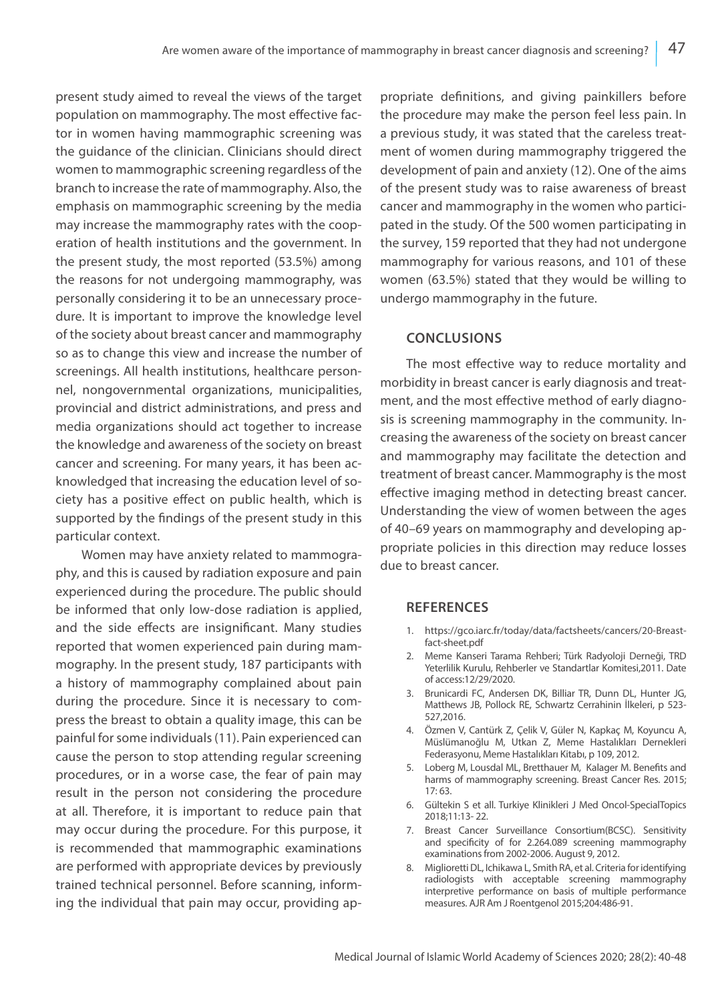present study aimed to reveal the views of the target population on mammography. The most effective factor in women having mammographic screening was the guidance of the clinician. Clinicians should direct women to mammographic screening regardless of the branch to increase the rate of mammography. Also, the emphasis on mammographic screening by the media may increase the mammography rates with the cooperation of health institutions and the government. In the present study, the most reported (53.5%) among the reasons for not undergoing mammography, was personally considering it to be an unnecessary procedure. It is important to improve the knowledge level of the society about breast cancer and mammography so as to change this view and increase the number of screenings. All health institutions, healthcare personnel, nongovernmental organizations, municipalities, provincial and district administrations, and press and media organizations should act together to increase the knowledge and awareness of the society on breast cancer and screening. For many years, it has been acknowledged that increasing the education level of society has a positive effect on public health, which is supported by the findings of the present study in this particular context.

Women may have anxiety related to mammography, and this is caused by radiation exposure and pain experienced during the procedure. The public should be informed that only low-dose radiation is applied, and the side effects are insignificant. Many studies reported that women experienced pain during mammography. In the present study, 187 participants with a history of mammography complained about pain during the procedure. Since it is necessary to compress the breast to obtain a quality image, this can be painful for some individuals (11). Pain experienced can cause the person to stop attending regular screening procedures, or in a worse case, the fear of pain may result in the person not considering the procedure at all. Therefore, it is important to reduce pain that may occur during the procedure. For this purpose, it is recommended that mammographic examinations are performed with appropriate devices by previously trained technical personnel. Before scanning, informing the individual that pain may occur, providing appropriate definitions, and giving painkillers before the procedure may make the person feel less pain. In a previous study, it was stated that the careless treatment of women during mammography triggered the development of pain and anxiety (12). One of the aims of the present study was to raise awareness of breast cancer and mammography in the women who participated in the study. Of the 500 women participating in the survey, 159 reported that they had not undergone mammography for various reasons, and 101 of these women (63.5%) stated that they would be willing to undergo mammography in the future.

# **CONCLUSIONS**

The most effective way to reduce mortality and morbidity in breast cancer is early diagnosis and treatment, and the most effective method of early diagnosis is screening mammography in the community. Increasing the awareness of the society on breast cancer and mammography may facilitate the detection and treatment of breast cancer. Mammography is the most effective imaging method in detecting breast cancer. Understanding the view of women between the ages of 40–69 years on mammography and developing appropriate policies in this direction may reduce losses due to breast cancer.

# **REFERENCES**

- 1. https://gco.iarc.fr/today/data/factsheets/cancers/20-Breastfact-sheet.pdf
- 2. Meme Kanseri Tarama Rehberi; Türk Radyoloji Derneği, TRD Yeterlilik Kurulu, Rehberler ve Standartlar Komitesi,2011. Date of access:12/29/2020.
- 3. Brunicardi FC, Andersen DK, Billiar TR, Dunn DL, Hunter JG, Matthews JB, Pollock RE, Schwartz Cerrahinin İlkeleri, p 523- 527,2016.
- 4. Özmen V, Cantürk Z, Çelik V, Güler N, Kapkaç M, Koyuncu A, Müslümanoğlu M, Utkan Z, Meme Hastalıkları Dernekleri Federasyonu, Meme Hastalıkları Kitabı, p 109, 2012.
- 5. Loberg M, Lousdal ML, Bretthauer M, Kalager M. Benefits and harms of mammography screening. Breast Cancer Res. 2015; 17: 63.
- 6. Gültekin S et all. Turkiye Klinikleri J Med Oncol-SpecialTopics 2018;11:13- 22.
- 7. Breast Cancer Surveillance Consortium(BCSC). Sensitivity and specificity of for 2.264.089 screening mammography examinations from 2002-2006. August 9, 2012.
- 8. Miglioretti DL, Ichikawa L, Smith RA, et al. Criteria for identifying radiologists with acceptable screening mammography interpretive performance on basis of multiple performance measures. AJR Am J Roentgenol 2015;204:486-91.